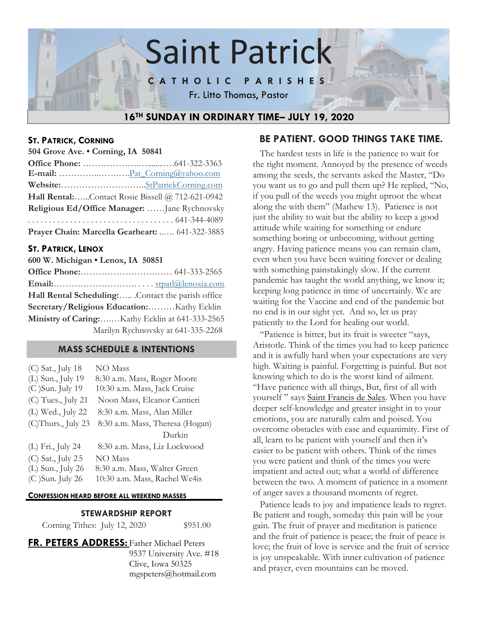

#### **ST. PATRICK, CORNING**

**504 Grove Ave. • Corning, IA 50841**

| Hall Rental:Contact Rosie Bissell @ 712-621-0942 |
|--------------------------------------------------|
| Religious Ed/Office Manager:  Jane Rychnovsky    |
|                                                  |
| Prayer Chain: Marcella Gearheart:  641-322-3885  |

#### **ST. PATRICK, LENOX**

| 600 W. Michigan . Lenox, IA 50851                 |
|---------------------------------------------------|
|                                                   |
|                                                   |
| Hall Rental Scheduling: Contact the parish office |
| Secretary/Religious Education:Kathy Ecklin        |
| Ministry of Caring:Kathy Ecklin at 641-333-2565   |
| Marilyn Rychnovsky at 641-335-2268                |

#### **MASS SCHEDULE & INTENTIONS**

| (C) Sat., July 18  | <b>NO</b> Mass                  |
|--------------------|---------------------------------|
| (L) Sun., July 19  | 8:30 a.m. Mass, Roger Moore     |
| (C) Sun. July 19   | 10:30 a.m. Mass, Jack Cruise    |
| (C) Tues., July 21 | Noon Mass, Eleanor Cantieri     |
| (L) Wed., July 22  | 8:30 a.m. Mass, Alan Miller     |
| (C)Thurs., July 23 | 8:30 a.m. Mass, Theresa (Hogan) |
|                    | Durkin                          |
| (L) Fri., July 24  | 8:30 a.m. Mass, Liz Lockwood    |
| (C) Sat., July 25  | NO Mass                         |
| (L) Sun., July 26  | 8:30 a.m. Mass, Walter Green    |
| (C) Sun. July 26   | 10:30 a.m. Mass, Rachel We4is   |
|                    |                                 |

#### **CONFESSION HEARD BEFORE ALL WEEKEND MASSES**

#### **STEWARDSHIP REPORT**

Corning Tithes: July 12, 2020 \$951.00

**FR. PETERS ADDRESS:** Father Michael Peters 9537 University Ave. #18 Clive, Iowa 50325 mgspeters@hotmail.com

# **BE PATIENT. GOOD THINGS TAKE TIME.**

 The hardest tests in life is the patience to wait for the right moment. Annoyed by the presence of weeds among the seeds, the servants asked the Master, "Do you want us to go and pull them up? He replied, "No, if you pull of the weeds you might uproot the wheat along the with them" (Mathew 13). Patience is not just the ability to wait but the ability to keep a good attitude while waiting for something or endure something boring or unbecoming, without getting angry. Having patience means you can remain clam, even when you have been waiting forever or dealing with something painstakingly slow. If the current pandemic has taught the world anything, we know it; keeping long patience in time of uncertainly. We are waiting for the Vaccine and end of the pandemic but no end is in our sight yet. And so, let us pray patiently to the Lord for healing our world.

 "Patience is bitter, but its fruit is sweeter "says, Aristotle. Think of the times you had to keep patience and it is awfully hard when your expectations are very high. Waiting is painful. Forgetting is painful. But not knowing which to do is the worst kind of ailment. "Have patience with all things, But, first of all with yourself" says Saint Francis de Sales. When you have deeper self-knowledge and greater insight in to your emotions, you are naturally calm and poised. You overcome obstacles with ease and equanimity. First of all, learn to be patient with yourself and then it's easier to be patient with others. Think of the times you were patient and think of the times you were impatient and acted out; what a world of difference between the two. A moment of patience in a moment of anger saves a thousand moments of regret.

 Patience leads to joy and impatience leads to regret. Be patient and tough, someday this pain will be your gain. The fruit of prayer and meditation is patience and the fruit of patience is peace; the fruit of peace is love; the fruit of love is service and the fruit of service is joy unspeakable. With inner cultivation of patience and prayer, even mountains can be moved.